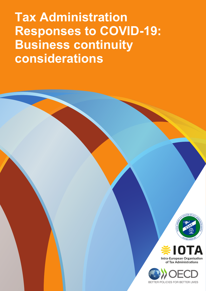**Tax Administration Responses to COVID-19: Business continuity considerations**





OR BETTER LIVES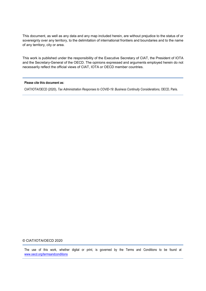This document, as well as any data and any map included herein, are without prejudice to the status of or sovereignty over any territory, to the delimitation of international frontiers and boundaries and to the name of any territory, city or area.

This work is published under the responsibility of the Executive Secretary of CIAT, the President of IOTA and the Secretary-General of the OECD. The opinions expressed and arguments employed herein do not necessarily reflect the official views of CIAT, IOTA or OECD member countries.

#### **Please cite this document as:**

CIAT/IOTA/OECD (2020), *Tax Administration Responses to COVID-19: Business Continuity Considerations*, OECD, Paris.

#### © CIAT/IOTA/OECD 2020

The use of this work, whether digital or print, is governed by the Terms and Conditions to be found at [www.oecd.org/termsandconditions](http://www.oecd.org/termsandconditions)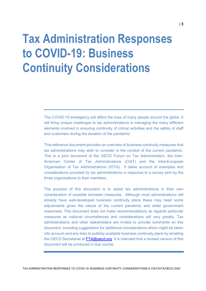## **Tax Administration Responses to COVID-19: Business Continuity Considerations**

The COVID-19 emergency will affect the lives of many people around the globe. It will bring unique challenges to tax administrations in managing the many different elements involved in ensuring continuity of critical activities and the safety of staff and customers during the duration of the pandemic.

This reference document provides an overview of business continuity measures that tax administrations may wish to consider in the context of the current pandemic. This is a joint document of the OECD Forum on Tax Administration, the Inter-American Center of Tax Administrations (CIAT) and the Intra-European Organisation of Tax Administrations (IOTA). It takes account of examples and considerations provided by tax administrations in response to a survey sent by the three organisations to their members.

The purpose of this document is to assist tax administrations in their own consideration of possible domestic measures. Although most administrations will already have well-developed business continuity plans these may need some adjustments given the nature of the current pandemic and wider government responses. This document does not make recommendations as regards particular measures as national circumstances and considerations will vary greatly. Tax administrations and other stakeholders are invited to provide comments on this document, including suggestions for additional considerations which might be taken into account and any links to publicly available business continuity plans by emailing the OECD Secretariat at [FTA@oecd.org.](mailto:FTA@oecd.org) It is intended that a revised version of this document will be produced in due course.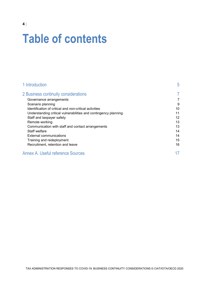# **Table of contents**

| 1 Introduction                                                  | 5  |
|-----------------------------------------------------------------|----|
| 2 Business continuity considerations                            | 7  |
| Governance arrangements                                         | 7  |
| Scenario planning                                               | 9  |
| Identification of critical and non-critical activities          | 10 |
| Understanding critical vulnerabilities and contingency planning | 11 |
| Staff and taxpayer safety                                       | 12 |
| Remote working                                                  | 13 |
| Communication with staff and contact arrangements               | 13 |
| Staff welfare                                                   | 14 |
| External communications                                         | 14 |
| Training and redeployment                                       | 15 |
| Recruitment, retention and leave                                | 16 |
| <b>Annex A. Useful reference Sources</b>                        |    |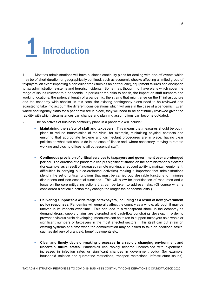<span id="page-4-0"></span>

1. Most tax administrations will have business continuity plans for dealing with one-off events which may be of short duration or geographically confined, such as economic shocks affecting a limited group of taxpayers, an event impacting a particular area (such as an earthquake), equipment failures and disruption to tax administration systems and terrorist incidents. Some may, though, not have plans which cover the range of issues relevant to a pandemic, in particular the risks to health, the impact on staff numbers and working locations, the potential length of a pandemic, the strains that might arise on the IT infrastructure and the economy wide shocks. In this case, the existing contingency plans need to be reviewed and adjusted to take into account the different considerations which will arise in the case of a pandemic. Even where contingency plans for a pandemic are in place, they will need to be continually reviewed given the rapidity with which circumstances can change and planning assumptions can become outdated.

- 2. The objectives of business continuity plans in a pandemic will include:
	- **Maintaining the safety of staff and taxpayers**. This means that measures should be put in place to reduce transmission of the virus, for example, minimising physical contacts and ensuring that appropriate hygiene and disinfectant procedures are in place, having clear policies on what staff should do in the case of illness and, where necessary, moving to remote working and closing offices to all but essential staff.
	- **Continuous provision of critical services to taxpayers and government over a prolonged period.** The duration of a pandemic can put significant strains on the administration's systems (for example, as a result of increased remote working, a reduced ability to maintain equipment, difficulties in carrying out co-ordinated activities) making it important that administrations identify the set of critical functions that must be carried out, desirable functions to minimise disruptions and non-essential functions. This will allow for prioritisation of resources and a focus on the core mitigating actions that can be taken to address risks. (Of course what is considered a critical function may change the longer the pandemic lasts.)
	- **Delivering support to a wide range of taxpayers, including as a result of new government policy responses.** Pandemics will generally affect the country as a whole, although it may be uneven in its impacts over time. This can lead to a widespread shock in the economy as demand drops, supply chains are disrupted and cash-flow constraints develop. In order to prevent a vicious circle developing, measures can be taken to support taxpayers as a whole or significant numbers of taxpayers in the most affected sectors. This itself can put strain on existing systems at a time when the administration may be asked to take on additional tasks, such as delivery of grant aid, benefit payments etc.
	- **Clear and timely decision-making processes in a rapidly changing environment and uncertain future states.** Pandemics can rapidly become uncontained with exponential increases in infection rates or significant changes in government policy (for example, household isolation and quarantine restrictions, transport restrictions, infrastructure issues),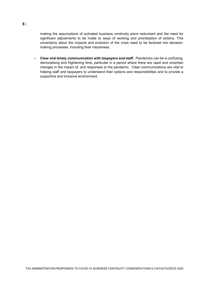making the assumptions of activated business continuity plans redundant and the need for significant adjustments to be made to ways of working and prioritisation of actions. This uncertainty about the impacts and evolution of the crisis need to be factored into decisionmaking processes, including their robustness.

• **Clear and timely communication with taxpayers and staff.** Pandemics can be a confusing, demoralising and frightening time, particular in a period where there are rapid and uncertain changes in the impact of, and responses to the pandemic. Clear communications are vital to helping staff and taxpayers to understand their options and responsibilities and to provide a supportive and inclusive environment.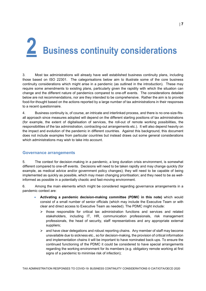# <span id="page-6-0"></span>**2 Business continuity considerations**

3. Most tax administrations will already have well established business continuity plans, including those based on ISO 22301. The categorisations below aim to illustrate some of the core business continuity considerations which might arise in a pandemic (as outlined in the introduction). These may require some amendments to existing plans, particularly given the rapidity with which the situation can change and the different nature of pandemics compared to one-off events. The considerations detailed below are not recommendations, nor are they intended to be comprehensive. Rather the aim is to provide food-for-thought based on the actions reported by a large number of tax administrations in their responses to a recent questionnaire.

4. Business continuity is, of course, an intricate and interlinked process, and there is no one-size-fitsall approach since measures adopted will depend on the different starting positions of tax administrations (for example, the extent of digitalisation of services, the roll-out of remote working possibilities, the responsibilities of the tax administration, contracting-out arrangements etc.). It will also depend heavily on the impact and evolution of the pandemic in different countries. Against this background, this document does not include examples from particular countries but instead draws out some general considerations which administrations may wish to take into account.

#### <span id="page-6-1"></span>**Governance arrangements**

5. The context for decision-making in a pandemic, a long duration crisis environment, is somewhat different compared to one-off events. Decisions will need to be taken rapidly and may change quickly (for example, as medical advice and/or government policy changes); they will need to be capable of being implemented as quickly as possible, which may mean changing prioritisation; and they need to be as wellinformed as possible in a potentially chaotic and fast-moving environment.

6. Among the main elements which might be considered regarding governance arrangements in a pandemic context are:

- **Activating a pandemic decision-making committee (PDMC in this note)** which would consist of a small number of senior officials (which may include the Executive Team or with clear and direct access to Executive Team as needed). The PDMC might include:
	- $\triangleright$  those responsible for critical tax administration functions and services and related stakeholders, including IT, HR, communication professionals, risk management professionals, the head of security, staff representatives and any appropriate external suppliers;
	- $\triangleright$  and have clear delegations and robust reporting chains. Any member of staff may become unavailable due to sickness etc., so for decision-making, the provision of critical information and implementation chains it will be important to have nominated back-ups. To ensure the continued functioning of the PDMC it could be considered to have special arrangements regarding the working environment for its members (e.g. obligatory remote working at first signs of a pandemic to minimise risk of infection);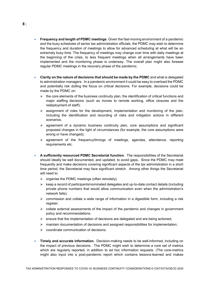- **Frequency and length of PDMC meetings**. Given the fast-moving environment of a pandemic and the busy schedules of senior tax administration officials, the PDMC may wish to determine the frequency and duration of meetings to allow for advanced scheduling at what will be an extremely busy time. The frequency of meetings may change over time with daily meetings at the beginning of the crisis, to less frequent meetings when all arrangements have been implemented and the monitoring phase is underway. The overall plan might also foresee regular PDMC meetings in the recovery phase of the pandemic.
- **Clarity on the nature of decisions that should be made by the PDMC** and what is delegated to administration managers. In a pandemic environment it could be easy to overload the PDMC and potentially risk dulling the focus on critical decisions. For example, decisions could be made by the PDMC on:
	- $\triangleright$  the core elements of the business continuity plan, the identification of critical functions and major staffing decisions (such as moves to remote working, office closures and the redeployment of staff);
	- $\triangleright$  assignment of roles for the development, implementation and monitoring of the plan, including the identification and recording of risks and mitigation actions in different scenarios;
	- $\triangleright$  agreement of a dynamic business continuity plan, core assumptions and significant proposed changes in the light of circumstances (for example, the core assumptions were wrong or have changed);
	- $\triangleright$  agreement of the frequency/timings of meetings, agendas, attendance, reporting requirements etc.
- **A sufficiently resourced PDMC Secretariat function**. The responsibilities of the Secretariat should ideally be well documented, and updated, to avoid gaps**.** Since the PDMC may meet frequently and make decisions covering significant aspects of the tax administration in a short time period, the Secretariat may face significant stretch. Among other things the Secretariat will need to:
	- $\triangleright$  organise the PDMC meetings (often remotely);
	- $\triangleright$  keep a record of participants/nominated delegates and up-to-date contact details (including private phone numbers that would allow communication even when the administration's network fails);
	- $\geq$  commission and collate a wide range of information in a digestible form, including a risk register;
	- $\triangleright$  collate external assessments of the impact of the pandemic and changes in government policy and recommendations;
	- $\triangleright$  ensure that the implementation of decisions are delegated and are being actioned;
	- $\triangleright$  maintain documentation of decisions and assigned responsibilities for implementation;
	- coordinate communication of decisions.
- **Timely and accurate information.** Decision-making needs to be well-informed, including on the impact of previous decisions. The PDMC might wish to determine a core set of metrics which are regularly reported, in addition to ad hoc information requests. (The core-metrics might also input into a post-pandemic report which contains lessons-learned and makes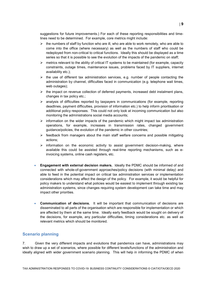suggestions for future improvements.) For each of these reporting responsibilities and timelines need to be determined. For example, core metrics might include:

- $\triangleright$  the numbers of staff by function who are ill, who are able to work remotely, who are able to come into the office (where necessary) as well as the numbers of staff who could be redeployed from non-critical to critical functions. Ideally this should be displayed as a time series so that it is possible to see the evolution of the impacts of the pandemic on staff;
- $\triangleright$  metrics relevant to the ability of critical IT systems to be maintained (for example, capacity constraints, outage times, maintenance issues, problems faced by IT suppliers, internet availability etc.);
- $\triangleright$  the use of different tax administration services, e.g. number of people contacting the administration by channel, difficulties faced in communication (e.g. telephone wait times, web outages);
- $\triangleright$  the impact on revenue collection of deferred payments, increased debt instalment plans, changes in tax policy etc.;
- $\triangleright$  analysis of difficulties reported by taxpayers in communications (for example, reporting deadlines, payment difficulties, provision of information etc.) to help inform prioritisation or additional policy responses. This could not only look at incoming communication but also monitoring the administrations social media accounts;
- $\triangleright$  information on the wider impacts of the pandemic which might impact tax administration operations, for example, increases in transmission rates, changed government guidance/policies, the evolution of the pandemic in other countries;
- $\triangleright$  feedback from managers about the main staff welfare concerns and possible mitigating actions;
- $\triangleright$  information on the economic activity to assist government decision-making, where available this could be assisted through real-time reporting mechanisms, such as einvoicing systems, online cash registers, etc.
- **Engagement with external decision makers.** Ideally the PDMC should be informed of and connected with whole-of-government approaches/policy decisions (with minimal delay) and able to feed in the potential impact on critical tax administration services or implementation considerations which may affect the design of the policy. For example, it would be helpful for policy makers to understand what policies would be easiest to implement through existing tax administration systems, since changes requiring system development can take time and may impact other priorities.
- **Communication of decisions.** It will be important that communication of decisions are disseminated to all parts of the organisation which are responsible for implementation or which are affected by them at the same time. Ideally early feedback would be sought on delivery of the decisions, for example, any particular difficulties, timing considerations etc. as well as relevant metrics which should be monitored.

#### <span id="page-8-0"></span>**Scenario planning**

7. Given the very different impacts and evolutions that pandemics can have, administrations may wish to draw up a set of scenarios, where possible for different levels/functions of the administration and ideally aligned with wider government scenario planning. This will help in informing the PDMC of when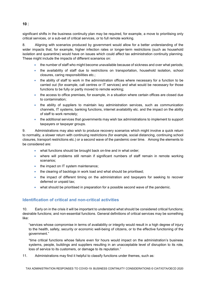significant shifts in the business continuity plan may be required, for example, a move to prioritising only critical services, or a sub-set of critical services, or to full remote working.

8. Aligning with scenarios produced by government would allow for a better understanding of the wider impacts that, for example, higher infection rates or longer-term restrictions (such as household isolation and quarantine) would have on issues which could affect tax administration continuity planning. These might include the impacts of different scenarios on:

- the number of staff who might become unavailable because of sickness and over what periods;
- the availability of staff due to restrictions on transportation, household isolation, school closures, caring responsibilities etc.;
- the ability of staff to work in the administration offices where necessary for a function to be carried out (for example, call centres or IT services) and what would be necessary for those functions to be fully or partly moved to remote working;
- the access to office premises, for example, in a situation where certain offices are closed due to contamination;
- the ability of suppliers to maintain key administration services, such as communication channels, IT systems, banking functions, internet availability etc. and the impact on the ability of staff to work remotely;
- the additional services that governments may wish tax administrations to implement to support taxpayers or taxpayer groups.

9. Administrations may also wish to produce recovery scenarios which might involve a quick return to normality, a slower return with continuing restrictions (for example, social distancing, continuing school closures, transport restrictions etc.) or a second wave of the pandemic over time. Among the elements to be considered are:

- what functions should be brought back on-line and in what order;
- where will problems still remain if significant numbers of staff remain in remote working scenarios;
- the impact on IT system maintenance;
- the clearing of backlogs in work load and what should be prioritised;
- the impact of different timing on the administration and taxpayers for seeking to recover deferred or unpaid tax;
- what should be prioritised in preparation for a possible second wave of the pandemic.

#### <span id="page-9-0"></span>**Identification of critical and non-critical activities**

10. Early on in the crisis it will be important to understand what should be considered critical functions; desirable functions; and non-essential functions. General definitions of critical services may be something like:

"services whose compromise in terms of availability or integrity would result in a high degree of injury to the health, safety, security or economic well-being of citizens, or to the effective functioning of the government."

"time critical functions whose failure even for hours would impact on the administration's business systems, people, buildings and suppliers resulting in an unacceptable level of disruption to its role, loss of service to its customers, or damage to its reputation."

11. Administrations may find it helpful to classify functions under themes, such as:

TAX ADMINISTRATION RESPONSES TO COVID-19: BUSINESS CONTINUITY CONSIDERATIONS © CIAT/IOTA/OECD 2020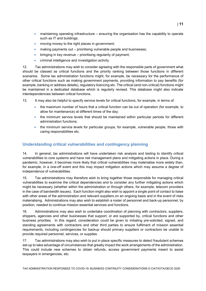- maintaining operating infrastructure ensuring the organisation has the capability to operate such as IT and buildings;
- moving money to the right places in government;
- making payments out prioritising vulnerable people and businesses;
- bringing in key revenue prioritising regularity of payment;
- criminal intelligence and investigation activity.

12. Tax administrations may wish to consider agreeing with the responsible parts of government what should be classed as critical functions and the priority ranking between those functions in different scenarios. Some tax administration functions might, for example, be necessary for the performance of other critical functions such as making government payments, providing information to pay benefits (for example, banking or address details), regulatory licencing etc. The critical (and non-critical) functions might be maintained in a dedicated database which is regularly revised. This database might also indicate interdependencies between critical functions.

13. It may also be helpful to specify service levels for critical functions, for example, in terms of:

- the maximum number of hours that a critical function can be out of operation (for example, to allow for maintenance) at different times of the day;
- the minimum service levels that should be maintained within particular periods for different administration functions;
- the minimum service levels for particular groups, for example, vulnerable people, those with caring responsibilities etc.

#### <span id="page-10-0"></span>**Understanding critical vulnerabilities and contingency planning**

14. In general, tax administrations will have undertaken risk analysis and testing to identify critical vulnerabilities to core systems and have risk management plans and mitigating actions in place. During a pandemic, however, it becomes more likely that critical vulnerabilities may materialise more widely than, for example, in a one-off event and this may impact mitigation actions which may assume a degree of independence of vulnerabilities.

15. Tax administrations may therefore wish to bring together those responsible for managing critical vulnerabilities to examine the critical dependencies and to consider any further mitigating actions which might be necessary (whether within the administration or through others, for example, telecom providers in the case of bandwidth issues). Each function might also wish to appoint a single point of contact to liaise with other areas of the administration and relevant suppliers on an ongoing basis and in the event of risks materialising. Administrations may also wish to establish a roster of personnel and back-up personnel, by position, needed to continue mission essential services and functions.

16. Administrations may also wish to undertake coordination of planning with contractors, suppliers, shippers, agencies and other businesses that support, or are supported by, critical functions and other business priorities. In this regard, consideration could be given to initiating pre-solicited, signed, and standing agreements with contractors and other third parties to ensure fulfilment of mission essential requirements, including contingencies for backup should primary suppliers or contractors be unable to provide required personnel, services, or supplies.

17. Tax administrations may also wish to put in place specific measures to detect fraudulent schemes set-up to take advantage of circumstances that greatly impact the work arrangements of the administration. This could include new schemes to obtain refunds, access government payments meant to assist taxpayers in emergencies, etc.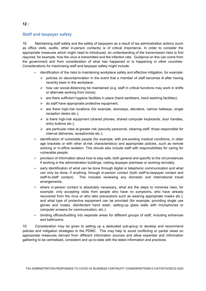#### <span id="page-11-0"></span>**Staff and taxpayer safety**

18. Maintaining staff safety and the safety of taxpayers as a result of tax administration actions (such as office visits, audits, other in-person contacts) is of critical importance. In order to consider the appropriate measures which might need to introduced, an understanding of the transmission risks is first required, for example, how the virus is transmitted and the infection rate. Guidance on this can come from the government and from consideration of what has happened or is happening in other countries. Considerations for maximising staff and taxpayer safety might include:

- identification of the risks to maintaining workplace safety and effective mitigation, for example:
	- $\triangleright$  policies on decontamination in the event that a member of staff becomes ill after having recently been in the workplace;
	- $\triangleright$  how can social-distancing be maintained (e.g. staff in critical functions may work in shifts or alternate working from home);
	- $\triangleright$  are there sufficient hygiene facilities in place (hand sanitisers, hand washing facilities);
	- $\triangleright$  do staff have appropriate protective equipment;
	- $\triangleright$  are there high-risk locations (for example, doorways, elevators, narrow hallways, single reception desks etc.);
	- $\triangleright$  is there high-risk equipment (shared phones, shared computer keyboards, door handles, entry buttons etc.);
	- $\triangleright$  are particular roles at greater risk (security personnel, cleaning staff, those responsible for internal deliveries, receptionists etc.);
- identification of vulnerable people (for example, with pre-existing medical conditions, in older age brackets or with other at-risk characteristics) and appropriate policies, such as remote working or in-office isolation. This should also include staff with responsibilities for caring for vulnerable people;
- provision of information about how to stay safe, both general and specific to the circumstances if working in the administration buildings, visiting taxpayer premises or working remotely;
- early identification of what can be done through digital or telephonic communication and what can only be done, if anything, through in-person contact (both staff-to-taxpayer contact and staff-to-staff contact). This includes reviewing any domestic and international travel arrangements;
- where in-person contact is absolutely necessary, what are the steps to minimise risks, for example: only accepting visits from people who have no symptoms, who have already recovered from the virus or who take precautions such as wearing appropriate masks etc.); and what type of protective equipment can be provided (for example, providing single use gloves and masks, disinfectant hand wash, setting-up glass walls with microphones or computer screens for communication, etc.);
- dividing offices/building into separate areas for different groups of staff, including entrances and bathrooms.

19. Consideration may be given to setting up a dedicated sub-group to develop and recommend policies and mitigation strategies to the PDMC. This may help to avoid conflicting or partial views on appropriate measures derived from different information sources and allow expertise and information gathering to be centralised, consistent and up-to-date with the latest information and practices.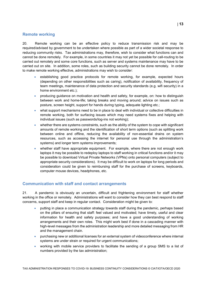#### <span id="page-12-0"></span>**Remote working**

20. Remote working can be an effective policy to reduce transmission risk and may be required/advised by government to be undertaken where possible as part of a wider societal response to reducing community risks. Tax administrations may, therefore, wish to consider what functions can and cannot be done remotely. For example, in some countries it may not yet be possible for call-routing to be carried out remotely and some core functions, such as server and systems maintenance may have to be carried out on site. In addition, some roles, such as building security cannot be done remotely. In order to make remote working effective, administrations may wish to consider:

- establishing good practice protocols for remote working, for example, expected hours (depending on other responsibilities such as caring), notification of availability, frequency of team meetings, maintenance of data protection and security standards (e.g. wifi security) in a home environment etc.);
- producing guidance on motivation and health and safety, for example, on: how to distinguish between work and home-life; taking breaks and moving around; advice on issues such as posture, screen height, support for hands during typing, adequate lighting etc.;
- what support mechanisms need to be in place to deal with individual or collective difficulties in remote working, both for surfacing issues which may need systems fixes and helping with individual issues (such as passwords/log-ins not working);
- whether there are systems constraints, such as the ability of the system to cope with significant amounts of remote working and the identification of short term options (such as splitting work between online and offline, reducing the availability of non-essential drains on system resources, such as accessing the internet for personal use through the administration's systems) and longer term systems improvements;
- whether staff have appropriate equipment. For example, where there are not enough work laptops it may be possible to redeploy laptops to staff working in critical functions and/or it may be possible to download Virtual Private Networks (VPNs) onto personal computers (subject to appropriate security considerations). It may be difficult to work on laptops for long periods and consideration could be given to reimbursing staff for the purchase of screens, keyboards, computer mouse devices, headphones, etc.

#### <span id="page-12-1"></span>**Communication with staff and contact arrangements**

21. A pandemic is obviously an uncertain, difficult and frightening environment for staff whether working in the office or remotely. Administrations will want to consider how they can best respond to staff concerns, support staff and keep in regular contact. Consideration might be given to:

- putting in place a communication strategy towards staff during the pandemic, perhaps based on the pillars of ensuring that staff: feel valued and motivated; have timely, useful and clear information for health and safety purposes; and have a good understanding of working arrangements and their own roles. This might work best if done in a cascading manner with high-level messages from the administration leadership and more detailed messaging from HR and the management chain.
- purchasing new or additional licenses for an external system of videoconference where internal systems are under strain or required for urgent communications;
- working with mobile service providers to facilitate the sending of a group SMS to a list of numbers provided by the tax administration;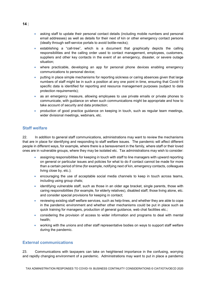- asking staff to update their personal contact details (including mobile numbers and personal email addresses) as well as details for their next of kin or other emergency contact persons (ideally through self-service portals to avoid bottle-necks);
- establishing a "call-tree", which is a document that graphically depicts the calling responsibilities and the calling order used to contact management, employees, customers, suppliers and other key contacts in the event of an emergency, disaster, or severe outage situation;
- where practicable, developing an app for personal phone devices enabling emergency communications to personal device;
- putting in place simple mechanisms for reporting sickness or caring absences given that large numbers of staff might be in such a position at any one point in time, ensuring that Covid-19 specific data is identified for reporting and resource management purposes (subject to data protection requirements);
- as an emergency measure, allowing employees to use private emails or private phones to communicate, with guidance on when such communications might be appropriate and how to take account of security and data protection;
- production of good practice guidance on keeping in touch, such as regular team meetings, wider divisional meetings, webinars, etc.

#### <span id="page-13-0"></span>**Staff welfare**

22. In addition to general staff communications, administrations may want to review the mechanisms that are in place for identifying and responding to staff welfare issues. The pandemic will affect different people in different ways, for example, where there is a bereavement in the family, where staff or their loved ones are in vulnerable groups, where they may be isolated etc. Tax administrations may wish to consider:

- assigning responsibilities for keeping in touch with staff to line managers with upward reporting on general or particular issues and policies for what to do if contact cannot be made for more than a certain period of time (for example, notifying next of kin, emergency contacts, colleagues living close by, etc.);
- encouraging the use of acceptable social media channels to keep in touch across teams, including using group chats;
- identifying vulnerable staff, such as those in an older age bracket, single parents, those with caring responsibilities (for example, for elderly relatives), disabled staff, those living alone, etc. and consider special provisions for keeping in contact;
- reviewing existing staff welfare services, such as help-lines, and whether they are able to cope in the pandemic environment and whether other mechanisms could be put in place such as quick training for managers, production of general guidance, web chat facilities etc.;
- considering the provision of access to wider information and programs to deal with mental health;
- working with the unions and other staff representative bodies on ways to support staff welfare during the pandemic.

#### <span id="page-13-1"></span>**External communications**

23. Communications with taxpayers can take on heightened importance in the confusing, worrying and rapidly changing environment of a pandemic. Administrations may want to put in place a pandemic

TAX ADMINISTRATION RESPONSES TO COVID-19: BUSINESS CONTINUITY CONSIDERATIONS © CIAT/IOTA/OECD 2020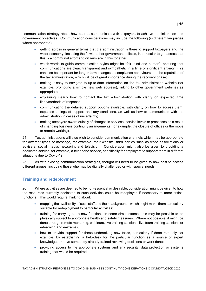communication strategy about how best to communicate with taxpayers to achieve administration and government objectives. Communication considerations may include the following (in different languages where appropriate):

- getting across in general terms that the administration is there to support taxpayers and the wider economy, including the fit with other government policies, in particular to get across that this is a communal effort and citizens are in this together;
- watch-words to quide communication styles might be "fair, kind and human", ensuring that communications are clear, transparent and sympathetic in a time of significant anxiety. This can also be important for longer-term changes to compliance behaviours and the reputation of the tax administration, which will be of great importance during the recovery phase;
- making it easy to navigate to up-to-date information on the tax administration website (for example, promoting a simple new web address), linking to other government websites as appropriate;
- explaining clearly how to contact the tax administration with clarity on expected time lines/methods of response;
- communicating the detailed support options available, with clarity on how to access them, expected timings of support and any conditions, as well as how to communicate with the administration in cases of uncertainty;
- making taxpayers aware quickly of changes in services, service levels or processes as a result of changing business continuity arrangements (for example, the closure of offices or the move to remote working).

24. Tax administrations will also wish to consider communication channels which may be appropriate for different types of message, for example, their website, third parties such as trade associations or advisers, social media, newsprint and television. Consideration might also be given to providing a dedicated service, for example, a telephone service, specifically for employers to support them in different situations due to Covid-19.

25. As with existing communication strategies, thought will need to be given to how best to access different groups, including those who may be digitally challenged or with special needs.

#### <span id="page-14-0"></span>**Training and redeployment**

26. Where activities are deemed to be non-essential or desirable, consideration might be given to how the resources currently dedicated to such activities could be redeployed if necessary to more critical functions. This would require thinking about:

- mapping the availability of such staff and their backgrounds which might make them particularly suitable for redeployment to particular activities;
- training for carrying out a new function. In some circumstances this may be possible to do physically subject to appropriate health and safety measures. Where not possible, it might be done through remote mentoring, webinars, live training sessions, live team training sessions or e-learning and e-exams);
- how to provide support for those undertaking new tasks, particularly if done remotely, for example, by establishing a help-desk for the particular function as a source of expert knowledge, or have somebody already trained reviewing decisions or work done;
- providing access to the appropriate systems and any security, data protection or systems training that would be required.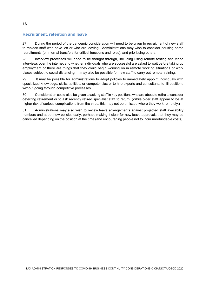#### <span id="page-15-0"></span>**Recruitment, retention and leave**

27. During the period of the pandemic consideration will need to be given to recruitment of new staff to replace staff who have left or who are leaving. Administrations may wish to consider pausing some recruitments (or internal transfers for critical functions and roles), and prioritising others.

28. Interview processes will need to be thought through, including using remote testing and video interviews over the internet and whether individuals who are successful are asked to wait before taking up employment or there are things that they could begin working on in remote working situations or work places subject to social distancing. It may also be possible for new staff to carry out remote training.

29. It may be possible for administrations to adopt policies to immediately appoint individuals with specialized knowledge, skills, abilities, or competencies or to hire experts and consultants to fill positions without going through competitive processes.

30. Consideration could also be given to asking staff in key positions who are about to retire to consider deferring retirement or to ask recently retired specialist staff to return. (While older staff appear to be at higher risk of serious complications from the virus, this may not be an issue where they work remotely.)

31. Administrations may also wish to review leave arrangements against projected staff availability numbers and adopt new policies early, perhaps making it clear for new leave approvals that they may be cancelled depending on the position at the time (and encouraging people not to incur unrefundable costs).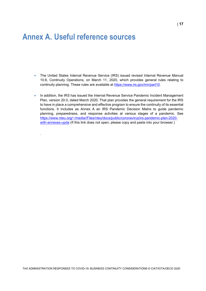### <span id="page-16-0"></span>**Annex A. Useful reference sources**

.

- The United States Internal Revenue Service (IRS) issued revised Internal Revenue Manual 10.6, Continuity Operations, on March 11, 2020, which provides general rules relating to continuity planning. These rules are available at [https://www.irs.gov/irm/part10.](https://www.irs.gov/irm/part10)
- In addition, the IRS has issued the Internal Revenue Service Pandemic Incident Management Plan, version 20.0, dated March 2020. That plan provides the general requirement for the IRS to have in place a comprehensive and effective program to ensure the continuity of its essential functions. It includes as Annex A an IRS Pandemic Decision Matrix to guide pandemic planning, preparedness, and response activities at various stages of a pandemic. See [https://www.nteu.org/~/media//Files/nteu/docs/public/coronavirus/irs-pandemic-plan-2020](https://www.nteu.org/%7E/media/Files/nteu/docs/public/coronavirus/irs-pandemic-plan-2020-with-annexes-upda) [with-annexes-upda](https://www.nteu.org/%7E/media/Files/nteu/docs/public/coronavirus/irs-pandemic-plan-2020-with-annexes-upda) (If this link does not open, please copy and paste into your browser.)